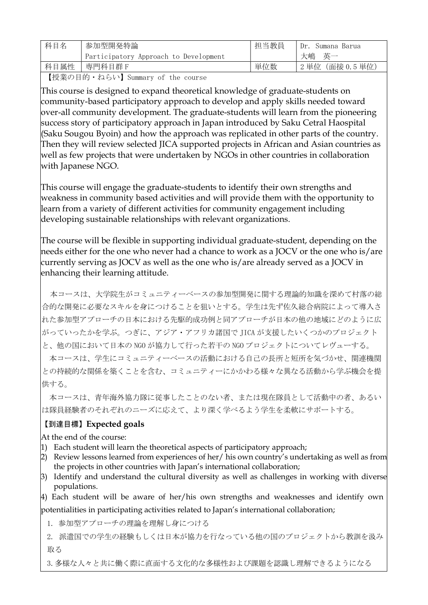| 科目名  | 参加型開発特論                               | 担当教員 | Dr. Sumana Barua |
|------|---------------------------------------|------|------------------|
|      | Participatory Approach to Development |      | 大嶋英一             |
| 科目属性 | 専門科目群F                                | 単位数  | '2単位(面接0.5単位)    |

【授業の目的・ねらい】Summary of the course

This course is designed to expand theoretical knowledge of graduate-students on community-based participatory approach to develop and apply skills needed toward over-all community development. The graduate-students will learn from the pioneering success story of participatory approach in Japan introduced by Saku Cetral Haospital (Saku Sougou Byoin) and how the approach was replicated in other parts of the country. Then they will review selected JICA supported projects in African and Asian countries as well as few projects that were undertaken by NGOs in other countries in collaboration with Japanese NGO.

This course will engage the graduate-students to identify their own strengths and weakness in community based activities and will provide them with the opportunity to learn from a variety of different activities for community engagement including developing sustainable relationships with relevant organizations.

The course will be flexible in supporting individual graduate-student, depending on the needs either for the one who never had a chance to work as a JOCV or the one who is/are currently serving as JOCV as well as the one who is/are already served as a JOCV in enhancing their learning attitude.

本コースは、大学院生がコミュニティーベースの参加型開発に関する理論的知識を深めて村落の総 合的な開発に必要なスキルを身につけることを狙いとする。学生は先ず佐久総合病院によって導入さ れた参加型アプローチの日本における先駆的成功例と同アプローチが日本の他の地域にどのように広 がっていったかを学ぶ。つぎに、アジア・アフリカ諸国で JICA が支援したいくつかのプロジェクト と、他の国において日本の NGO が協力して行った若干の NGO プロジェクトについてレヴューする。

 本コースは、学生にコミュニティーベースの活動における自己の長所と短所を気づかせ、関連機関 との持続的な関係を築くことを含む、コミュニティーにかかわる様々な異なる活動から学ぶ機会を提 供する。

 本コースは、青年海外協力隊に従事したことのない者、または現在隊員として活動中の者、あるい は隊員経験者のそれぞれのニーズに応えて、より深く学べるよう学生を柔軟にサポートする。

## 【到達目標】Expected goals

At the end of the course:

- 1) Each student will learn the theoretical aspects of participatory approach;
- 2) Review lessons learned from experiences of her/ his own country's undertaking as well as from the projects in other countries with Japan's international collaboration;
- 3) Identify and understand the cultural diversity as well as challenges in working with diverse populations.

4) Each student will be aware of her/his own strengths and weaknesses and identify own potentialities in participating activities related to Japan's international collaboration;

1. 参加型アプローチの理論を理解し身につける

2. 派遣国での学生の経験もしくは日本が協力を行なっている他の国のプロジェクトから教訓を汲み 取る

3.多様な人々と共に働く際に直面する文化的な多様性および課題を認識し理解できるようになる